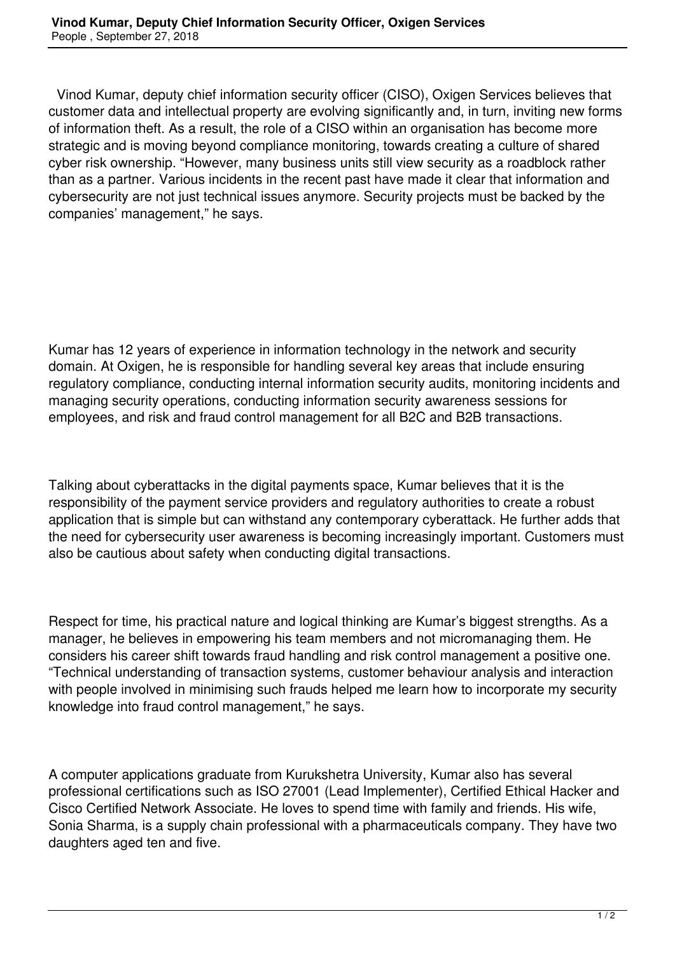Vinod Kumar, deputy chief information security officer (CISO), Oxigen Services believes that customer data and intellectual property are evolving significantly and, in turn, inviting new forms of information theft. As a result, the role of a CISO within an organisation has become more strategic and is moving beyond compliance monitoring, towards creating a culture of shared cyber risk ownership. "However, many business units still view security as a roadblock rather than as a partner. Various incidents in the recent past have made it clear that information and cybersecurity are not just technical issues anymore. Security projects must be backed by the companies' management," he says.

Kumar has 12 years of experience in information technology in the network and security domain. At Oxigen, he is responsible for handling several key areas that include ensuring regulatory compliance, conducting internal information security audits, monitoring incidents and managing security operations, conducting information security awareness sessions for employees, and risk and fraud control management for all B2C and B2B transactions.

Talking about cyberattacks in the digital payments space, Kumar believes that it is the responsibility of the payment service providers and regulatory authorities to create a robust application that is simple but can withstand any contemporary cyberattack. He further adds that the need for cybersecurity user awareness is becoming increasingly important. Customers must also be cautious about safety when conducting digital transactions.

Respect for time, his practical nature and logical thinking are Kumar's biggest strengths. As a manager, he believes in empowering his team members and not micromanaging them. He considers his career shift towards fraud handling and risk control management a positive one. "Technical understanding of transaction systems, customer behaviour analysis and interaction with people involved in minimising such frauds helped me learn how to incorporate my security knowledge into fraud control management," he says.

A computer applications graduate from Kurukshetra University, Kumar also has several professional certifications such as ISO 27001 (Lead Implementer), Certified Ethical Hacker and Cisco Certified Network Associate. He loves to spend time with family and friends. His wife, Sonia Sharma, is a supply chain professional with a pharmaceuticals company. They have two daughters aged ten and five.